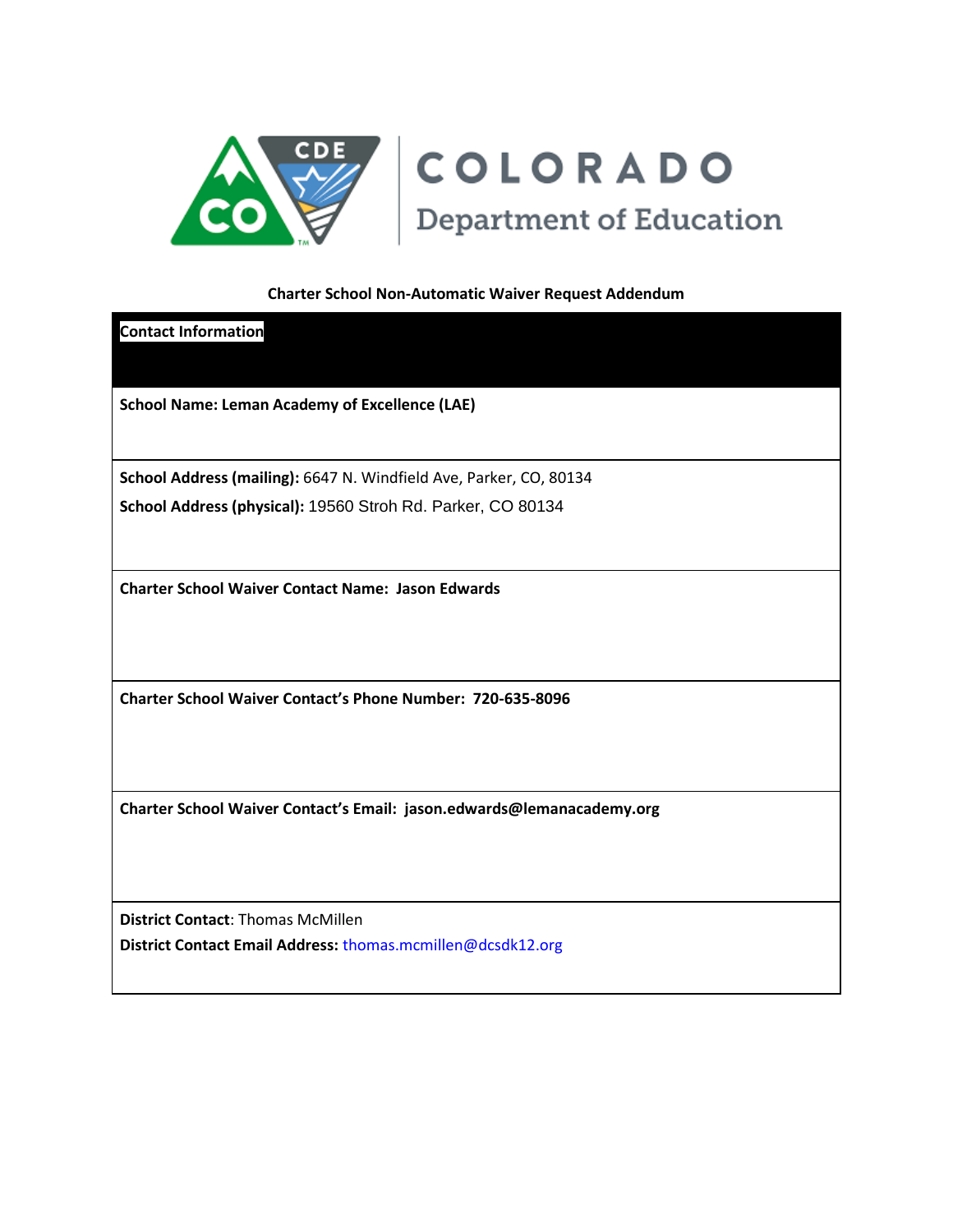

# COLORADO **Department of Education**

### **Charter School Non-Automatic Waiver Request Addendum**

**Contact Information School Name: Leman Academy of Excellence (LAE) School Address (mailing):** 6647 N. Windfield Ave, Parker, CO, 80134 **School Address (physical):** 19560 Stroh Rd. Parker, CO 80134 **Charter School Waiver Contact Name: Jason Edwards Charter School Waiver Contact's Phone Number: 720-635-8096 Charter School Waiver Contact's Email: jason.edwards@lemanacademy.org**

**District Contact**: Thomas McMillen **District Contact Email Address:** thomas.mcmillen@dcsdk12.org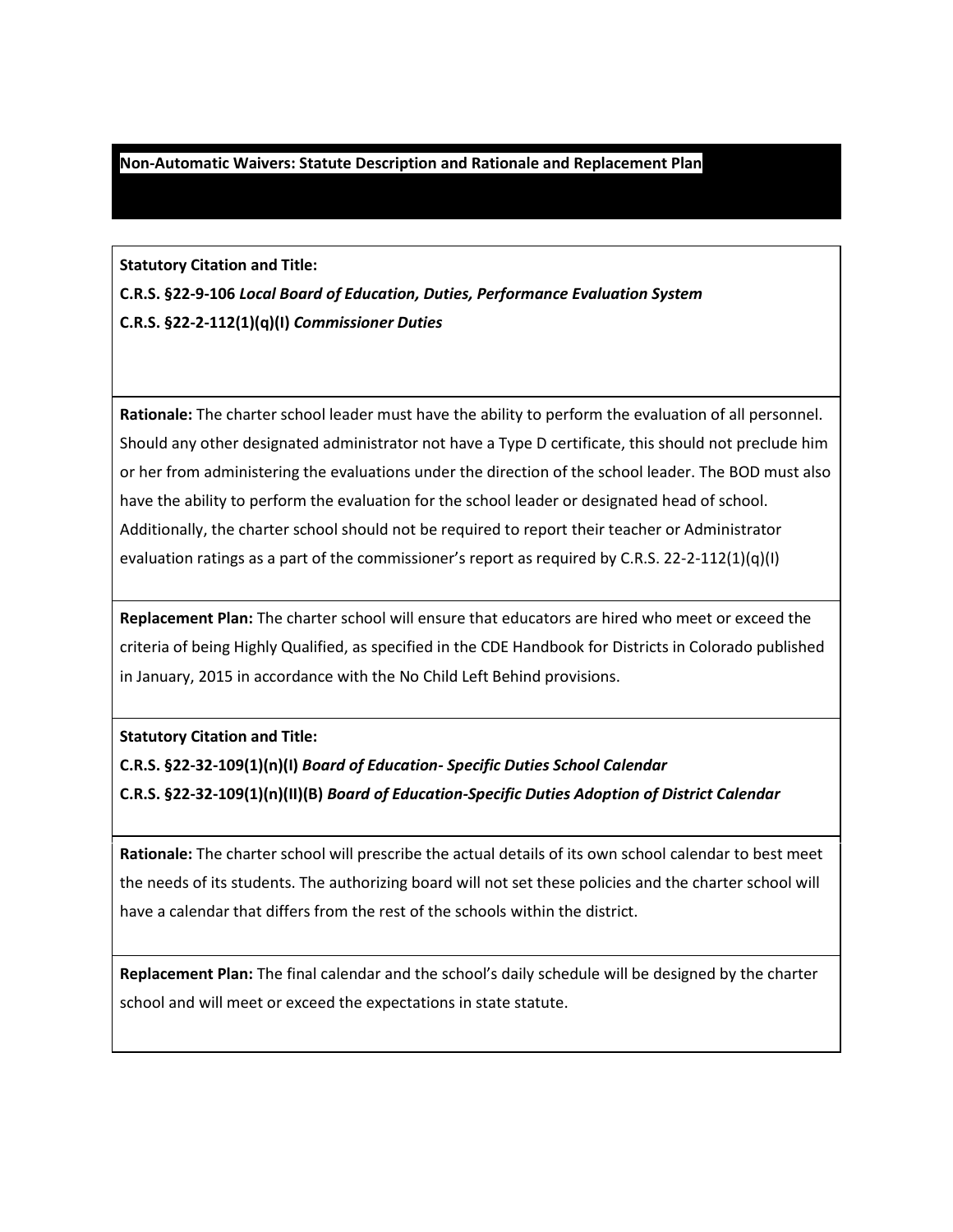#### **Non-Automatic Waivers: Statute Description and Rationale and Replacement Plan**

**Statutory Citation and Title:**

**C.R.S. §22-9-106** *Local Board of Education, Duties, Performance Evaluation System* **C.R.S. §22-2-112(1)(q)(I)** *Commissioner Duties*

**Rationale:** The charter school leader must have the ability to perform the evaluation of all personnel. Should any other designated administrator not have a Type D certificate, this should not preclude him or her from administering the evaluations under the direction of the school leader. The BOD must also have the ability to perform the evaluation for the school leader or designated head of school. Additionally, the charter school should not be required to report their teacher or Administrator evaluation ratings as a part of the commissioner's report as required by C.R.S. 22-2-112(1)(q)(l)

**Replacement Plan:** The charter school will ensure that educators are hired who meet or exceed the criteria of being Highly Qualified, as specified in the CDE Handbook for Districts in Colorado published in January, 2015 in accordance with the No Child Left Behind provisions.

**Statutory Citation and Title:**

**C.R.S. §22-32-109(1)(n)(I)** *Board of Education- Specific Duties School Calendar*

**C.R.S. §22-32-109(1)(n)(II)(B)** *Board of Education-Specific Duties Adoption of District Calendar*

**Rationale:** The charter school will prescribe the actual details of its own school calendar to best meet the needs of its students. The authorizing board will not set these policies and the charter school will have a calendar that differs from the rest of the schools within the district.

**Replacement Plan:** The final calendar and the school's daily schedule will be designed by the charter school and will meet or exceed the expectations in state statute.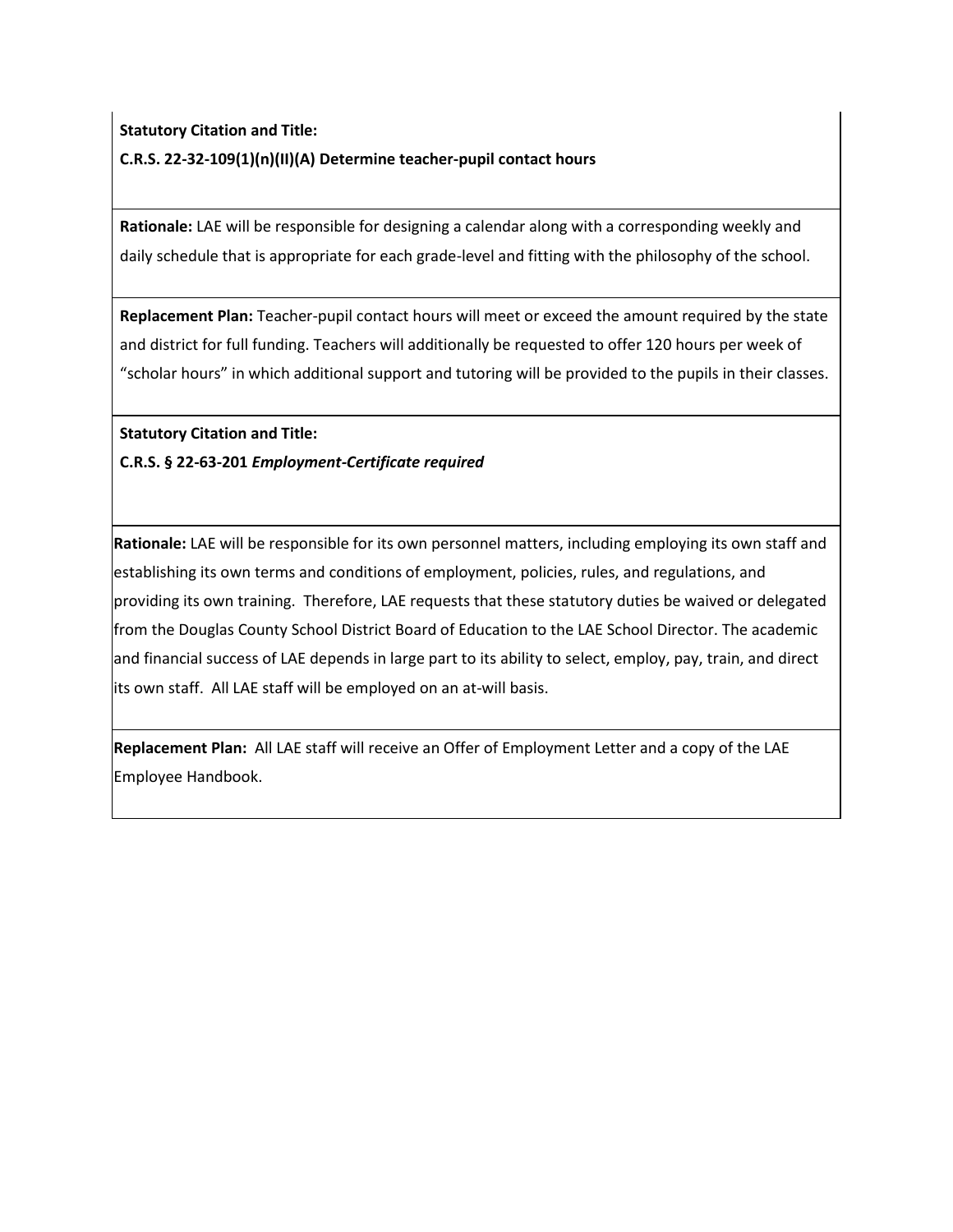# **Statutory Citation and Title: C.R.S. 22-32-109(1)(n)(II)(A) Determine teacher-pupil contact hours**

**Rationale:** LAE will be responsible for designing a calendar along with a corresponding weekly and daily schedule that is appropriate for each grade-level and fitting with the philosophy of the school.

**Replacement Plan:** Teacher-pupil contact hours will meet or exceed the amount required by the state and district for full funding. Teachers will additionally be requested to offer 120 hours per week of "scholar hours" in which additional support and tutoring will be provided to the pupils in their classes.

**Statutory Citation and Title:**

**C.R.S. § 22-63-201** *Employment-Certificate required*

**Rationale:** LAE will be responsible for its own personnel matters, including employing its own staff and establishing its own terms and conditions of employment, policies, rules, and regulations, and providing its own training. Therefore, LAE requests that these statutory duties be waived or delegated from the Douglas County School District Board of Education to the LAE School Director. The academic and financial success of LAE depends in large part to its ability to select, employ, pay, train, and direct its own staff. All LAE staff will be employed on an at-will basis.

**Replacement Plan:** All LAE staff will receive an Offer of Employment Letter and a copy of the LAE Employee Handbook.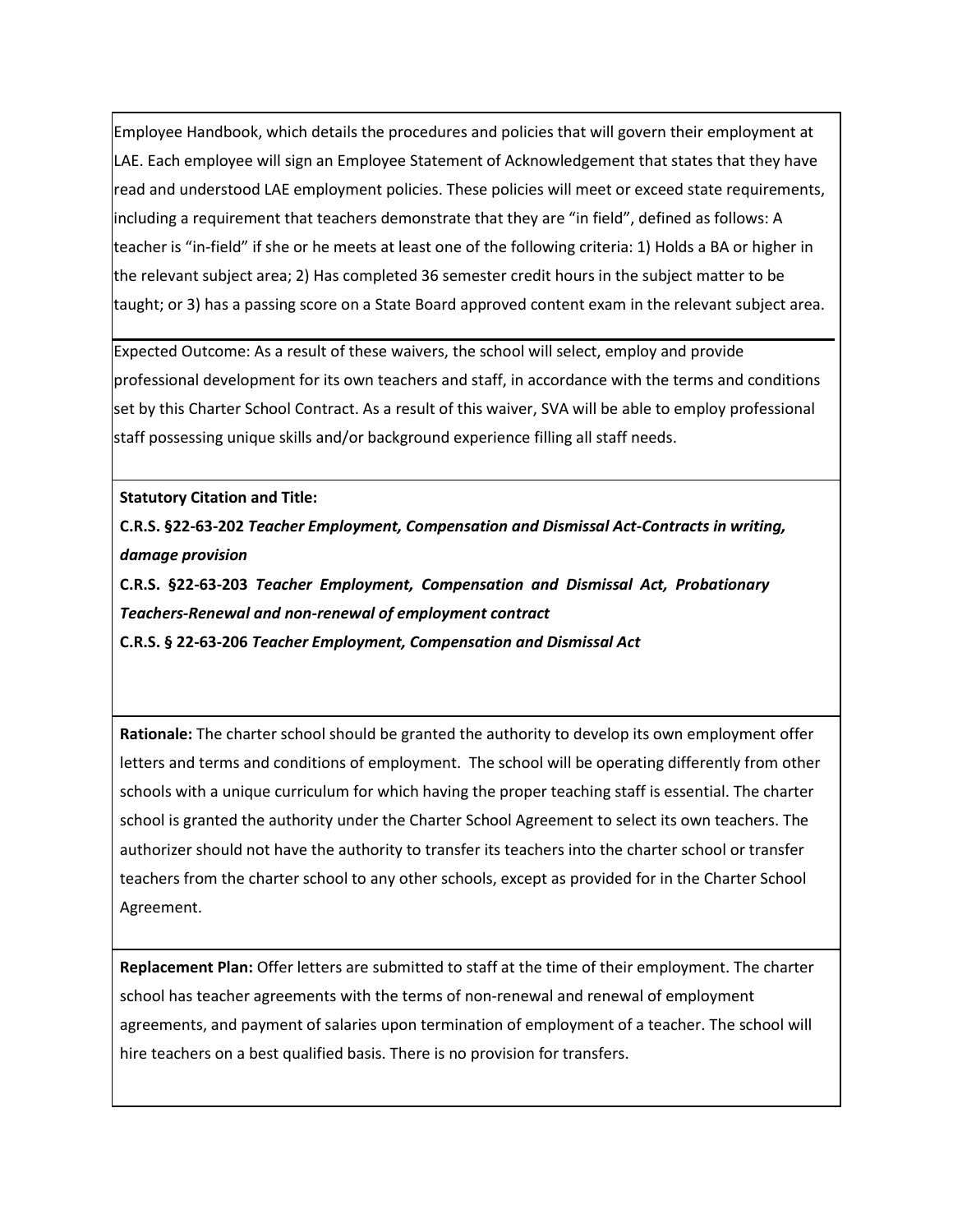Employee Handbook, which details the procedures and policies that will govern their employment at LAE. Each employee will sign an Employee Statement of Acknowledgement that states that they have read and understood LAE employment policies. These policies will meet or exceed state requirements, including a requirement that teachers demonstrate that they are "in field", defined as follows: A teacher is "in-field" if she or he meets at least one of the following criteria: 1) Holds a BA or higher in the relevant subject area; 2) Has completed 36 semester credit hours in the subject matter to be taught; or 3) has a passing score on a State Board approved content exam in the relevant subject area.

Expected Outcome: As a result of these waivers, the school will select, employ and provide professional development for its own teachers and staff, in accordance with the terms and conditions set by this Charter School Contract. As a result of this waiver, SVA will be able to employ professional staff possessing unique skills and/or background experience filling all staff needs.

#### **Statutory Citation and Title:**

**C.R.S. §22-63-202** *Teacher Employment, Compensation and Dismissal Act-Contracts in writing, damage provision*

**C.R.S. §22-63-203** *Teacher Employment, Compensation and Dismissal Act, Probationary Teachers-Renewal and non-renewal of employment contract* **C.R.S. § 22-63-206** *Teacher Employment, Compensation and Dismissal Act*

**Rationale:** The charter school should be granted the authority to develop its own employment offer letters and terms and conditions of employment. The school will be operating differently from other schools with a unique curriculum for which having the proper teaching staff is essential. The charter school is granted the authority under the Charter School Agreement to select its own teachers. The authorizer should not have the authority to transfer its teachers into the charter school or transfer teachers from the charter school to any other schools, except as provided for in the Charter School Agreement.

**Replacement Plan:** Offer letters are submitted to staff at the time of their employment. The charter school has teacher agreements with the terms of non-renewal and renewal of employment agreements, and payment of salaries upon termination of employment of a teacher. The school will hire teachers on a best qualified basis. There is no provision for transfers.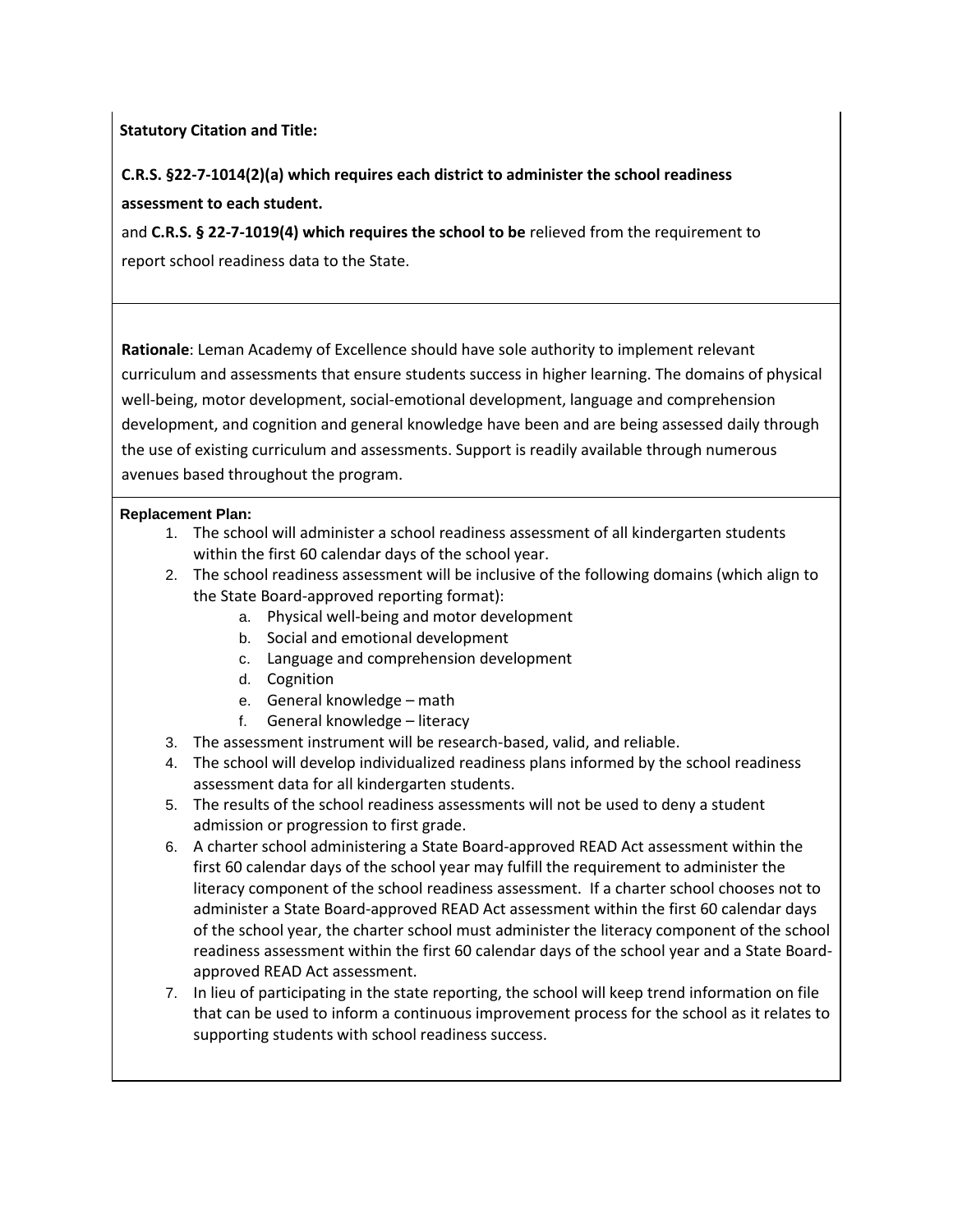**Statutory Citation and Title:**

**C.R.S. §22-7-1014(2)(a) which requires each district to administer the school readiness assessment to each student.**

and **C.R.S. § 22-7-1019(4) which requires the school to be** relieved from the requirement to report school readiness data to the State.

**Rationale**: Leman Academy of Excellence should have sole authority to implement relevant curriculum and assessments that ensure students success in higher learning. The domains of physical well-being, motor development, social-emotional development, language and comprehension development, and cognition and general knowledge have been and are being assessed daily through the use of existing curriculum and assessments. Support is readily available through numerous avenues based throughout the program.

# **Replacement Plan:**

- 1. The school will administer a school readiness assessment of all kindergarten students within the first 60 calendar days of the school year.
- 2. The school readiness assessment will be inclusive of the following domains (which align to the State Board-approved reporting format):
	- a. Physical well-being and motor development
	- b. Social and emotional development
	- c. Language and comprehension development
	- d. Cognition
	- e. General knowledge math
	- f. General knowledge literacy
- 3. The assessment instrument will be research-based, valid, and reliable.
- 4. The school will develop individualized readiness plans informed by the school readiness assessment data for all kindergarten students.
- 5. The results of the school readiness assessments will not be used to deny a student admission or progression to first grade.
- 6. A charter school administering a State Board-approved READ Act assessment within the first 60 calendar days of the school year may fulfill the requirement to administer the literacy component of the school readiness assessment. If a charter school chooses not to administer a State Board-approved READ Act assessment within the first 60 calendar days of the school year, the charter school must administer the literacy component of the school readiness assessment within the first 60 calendar days of the school year and a State Boardapproved READ Act assessment.
- 7. In lieu of participating in the state reporting, the school will keep trend information on file that can be used to inform a continuous improvement process for the school as it relates to supporting students with school readiness success.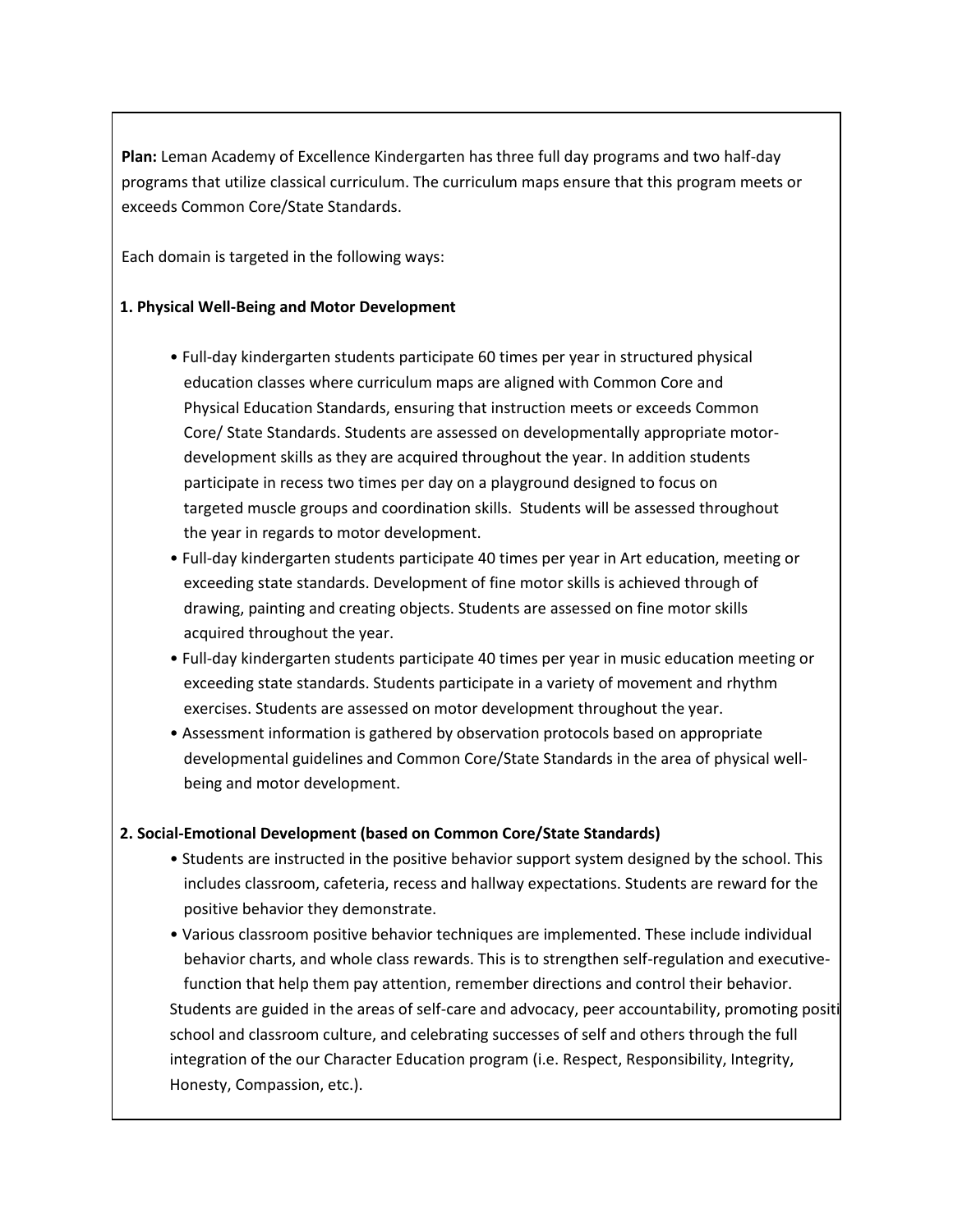**Plan:** Leman Academy of Excellence Kindergarten has three full day programs and two half-day programs that utilize classical curriculum. The curriculum maps ensure that this program meets or exceeds Common Core/State Standards.

Each domain is targeted in the following ways:

# **1. Physical Well-Being and Motor Development**

- Full-day kindergarten students participate 60 times per year in structured physical education classes where curriculum maps are aligned with Common Core and Physical Education Standards, ensuring that instruction meets or exceeds Common Core/ State Standards. Students are assessed on developmentally appropriate motordevelopment skills as they are acquired throughout the year. In addition students participate in recess two times per day on a playground designed to focus on targeted muscle groups and coordination skills. Students will be assessed throughout the year in regards to motor development.
- Full-day kindergarten students participate 40 times per year in Art education, meeting or exceeding state standards. Development of fine motor skills is achieved through of drawing, painting and creating objects. Students are assessed on fine motor skills acquired throughout the year.
- Full-day kindergarten students participate 40 times per year in music education meeting or exceeding state standards. Students participate in a variety of movement and rhythm exercises. Students are assessed on motor development throughout the year.
- Assessment information is gathered by observation protocols based on appropriate developmental guidelines and Common Core/State Standards in the area of physical wellbeing and motor development.

## **2. Social-Emotional Development (based on Common Core/State Standards)**

- Students are instructed in the positive behavior support system designed by the school. This includes classroom, cafeteria, recess and hallway expectations. Students are reward for the positive behavior they demonstrate.
- Various classroom positive behavior techniques are implemented. These include individual behavior charts, and whole class rewards. This is to strengthen self-regulation and executivefunction that help them pay attention, remember directions and control their behavior. Students are guided in the areas of self-care and advocacy, peer accountability, promoting positi school and classroom culture, and celebrating successes of self and others through the full integration of the our Character Education program (i.e. Respect, Responsibility, Integrity, Honesty, Compassion, etc.).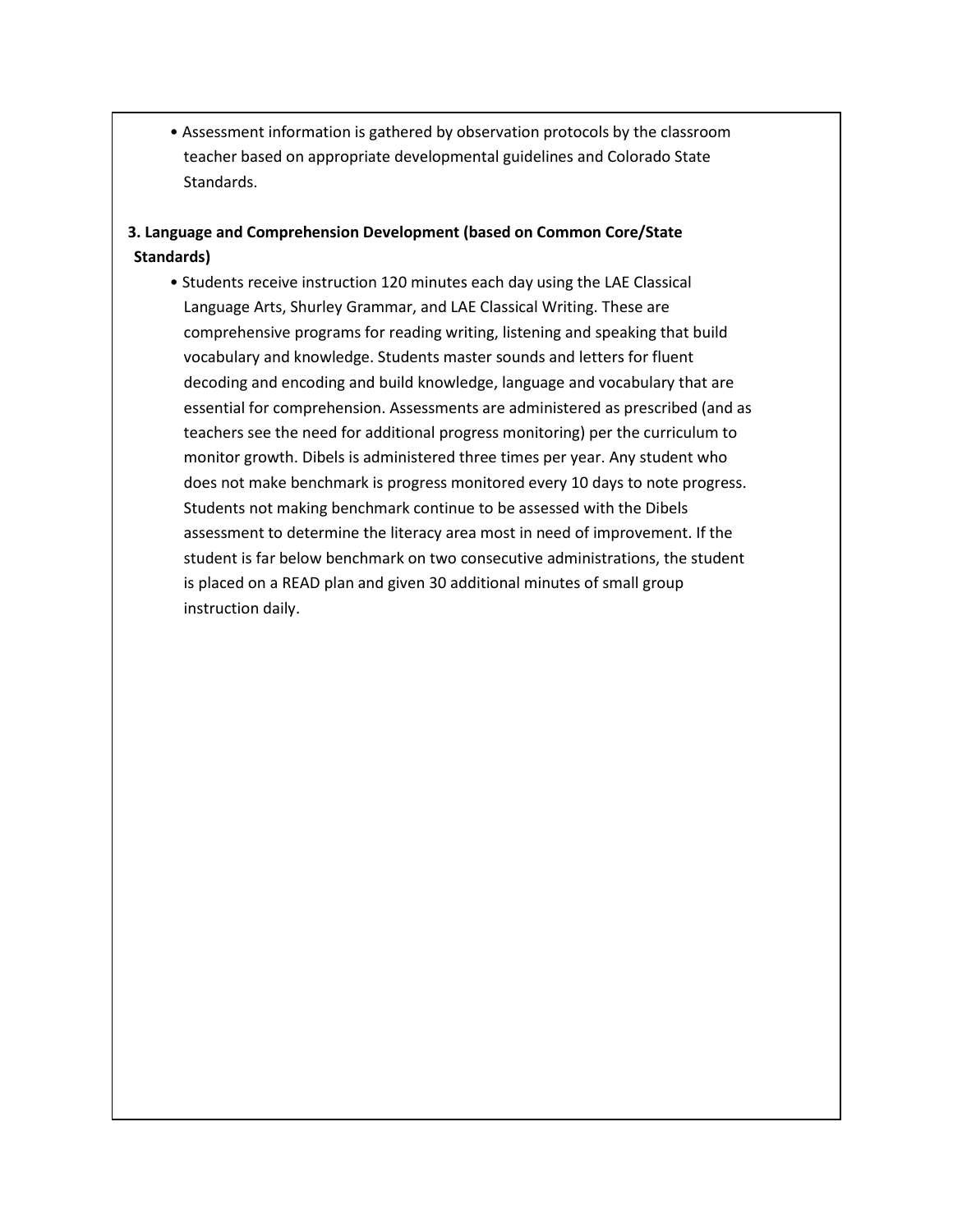• Assessment information is gathered by observation protocols by the classroom teacher based on appropriate developmental guidelines and Colorado State Standards.

# **3. Language and Comprehension Development (based on Common Core/State Standards)**

• Students receive instruction 120 minutes each day using the LAE Classical Language Arts, Shurley Grammar, and LAE Classical Writing. These are comprehensive programs for reading writing, listening and speaking that build vocabulary and knowledge. Students master sounds and letters for fluent decoding and encoding and build knowledge, language and vocabulary that are essential for comprehension. Assessments are administered as prescribed (and as teachers see the need for additional progress monitoring) per the curriculum to monitor growth. Dibels is administered three times per year. Any student who does not make benchmark is progress monitored every 10 days to note progress. Students not making benchmark continue to be assessed with the Dibels assessment to determine the literacy area most in need of improvement. If the student is far below benchmark on two consecutive administrations, the student is placed on a READ plan and given 30 additional minutes of small group instruction daily.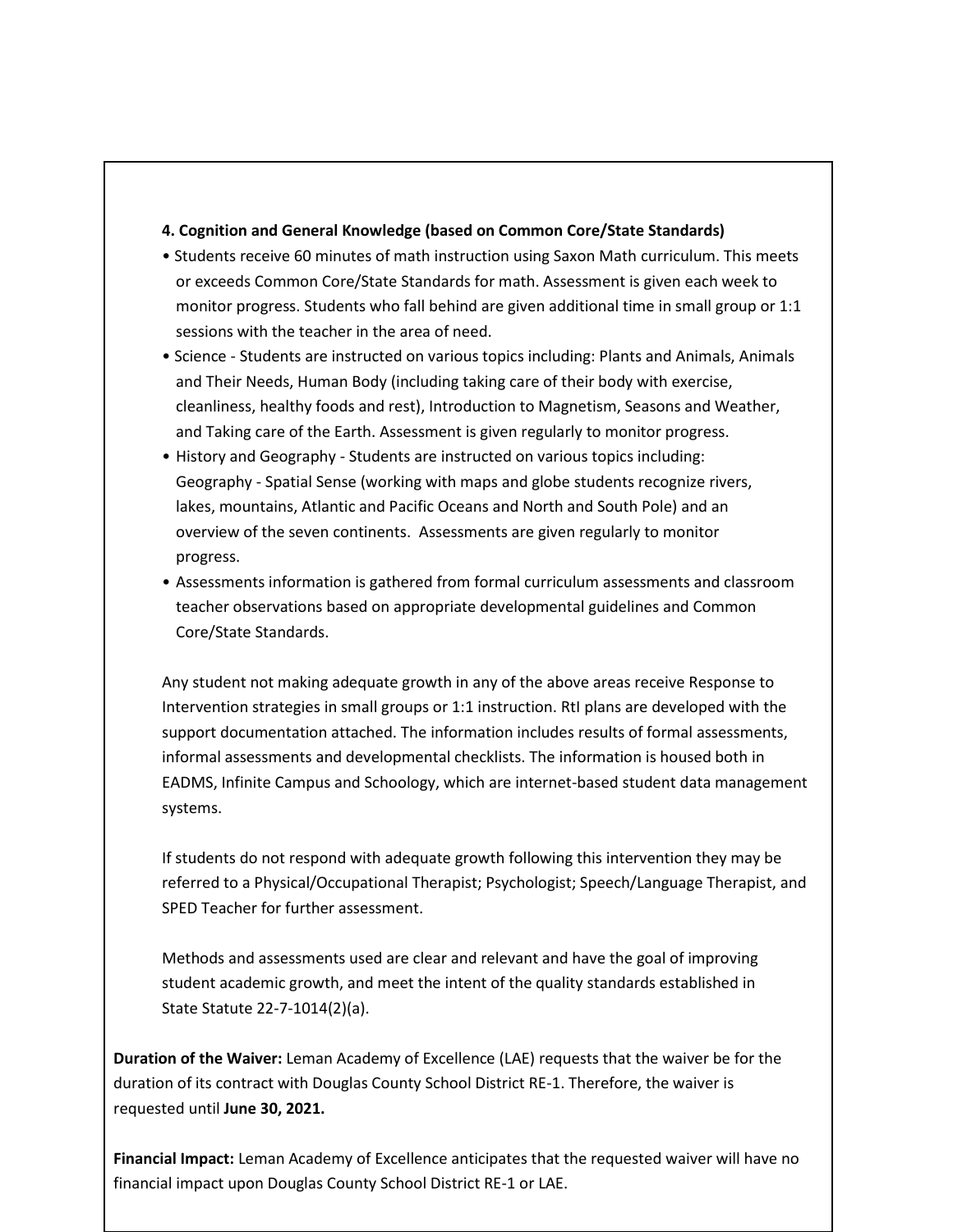#### **4. Cognition and General Knowledge (based on Common Core/State Standards)**

- Students receive 60 minutes of math instruction using Saxon Math curriculum. This meets or exceeds Common Core/State Standards for math. Assessment is given each week to monitor progress. Students who fall behind are given additional time in small group or 1:1 sessions with the teacher in the area of need.
- Science Students are instructed on various topics including: Plants and Animals, Animals and Their Needs, Human Body (including taking care of their body with exercise, cleanliness, healthy foods and rest), Introduction to Magnetism, Seasons and Weather, and Taking care of the Earth. Assessment is given regularly to monitor progress.
- History and Geography Students are instructed on various topics including: Geography - Spatial Sense (working with maps and globe students recognize rivers, lakes, mountains, Atlantic and Pacific Oceans and North and South Pole) and an overview of the seven continents. Assessments are given regularly to monitor progress.
- Assessments information is gathered from formal curriculum assessments and classroom teacher observations based on appropriate developmental guidelines and Common Core/State Standards.

Any student not making adequate growth in any of the above areas receive Response to Intervention strategies in small groups or 1:1 instruction. RtI plans are developed with the support documentation attached. The information includes results of formal assessments, informal assessments and developmental checklists. The information is housed both in EADMS, Infinite Campus and Schoology, which are internet-based student data management systems.

If students do not respond with adequate growth following this intervention they may be referred to a Physical/Occupational Therapist; Psychologist; Speech/Language Therapist, and SPED Teacher for further assessment.

Methods and assessments used are clear and relevant and have the goal of improving student academic growth, and meet the intent of the quality standards established in State Statute 22-7-1014(2)(a).

**Duration of the Waiver:** Leman Academy of Excellence (LAE) requests that the waiver be for the duration of its contract with Douglas County School District RE-1. Therefore, the waiver is requested until **June 30, 2021.**

**Financial Impact:** Leman Academy of Excellence anticipates that the requested waiver will have no financial impact upon Douglas County School District RE-1 or LAE.